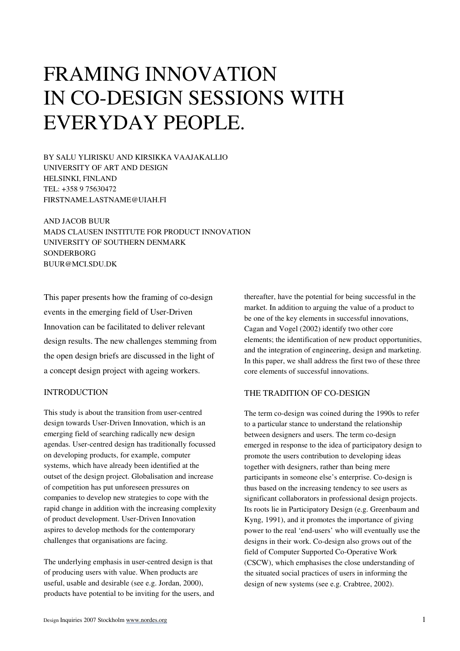# FRAMING INNOVATION IN CO-DESIGN SESSIONS WITH EVERYDAY PEOPLE.

BY SALU YLIRISKU AND KIRSIKKA VAAJAKALLIO UNIVERSITY OF ART AND DESIGN HELSINKI, FINLAND TEL: +358 9 75630472 FIRSTNAME.LASTNAME@UIAH.FI

AND JACOB BUUR MADS CLAUSEN INSTITUTE FOR PRODUCT INNOVATION UNIVERSITY OF SOUTHERN DENMARK **SONDERBORG** BUUR@MCI.SDU.DK

This paper presents how the framing of co-design events in the emerging field of User-Driven Innovation can be facilitated to deliver relevant design results. The new challenges stemming from the open design briefs are discussed in the light of a concept design project with ageing workers.

# INTRODUCTION

This study is about the transition from user-centred design towards User-Driven Innovation, which is an emerging field of searching radically new design agendas. User-centred design has traditionally focussed on developing products, for example, computer systems, which have already been identified at the outset of the design project. Globalisation and increase of competition has put unforeseen pressures on companies to develop new strategies to cope with the rapid change in addition with the increasing complexity of product development. User-Driven Innovation aspires to develop methods for the contemporary challenges that organisations are facing.

The underlying emphasis in user-centred design is that of producing users with value. When products are useful, usable and desirable (see e.g. Jordan, 2000), products have potential to be inviting for the users, and thereafter, have the potential for being successful in the market. In addition to arguing the value of a product to be one of the key elements in successful innovations, Cagan and Vogel (2002) identify two other core elements; the identification of new product opportunities, and the integration of engineering, design and marketing. In this paper, we shall address the first two of these three core elements of successful innovations.

# THE TRADITION OF CO-DESIGN

The term co-design was coined during the 1990s to refer to a particular stance to understand the relationship between designers and users. The term co-design emerged in response to the idea of participatory design to promote the users contribution to developing ideas together with designers, rather than being mere participants in someone else's enterprise. Co-design is thus based on the increasing tendency to see users as significant collaborators in professional design projects. Its roots lie in Participatory Design (e.g. Greenbaum and Kyng, 1991), and it promotes the importance of giving power to the real 'end-users' who will eventually use the designs in their work. Co-design also grows out of the field of Computer Supported Co-Operative Work (CSCW), which emphasises the close understanding of the situated social practices of users in informing the design of new systems (see e.g. Crabtree, 2002).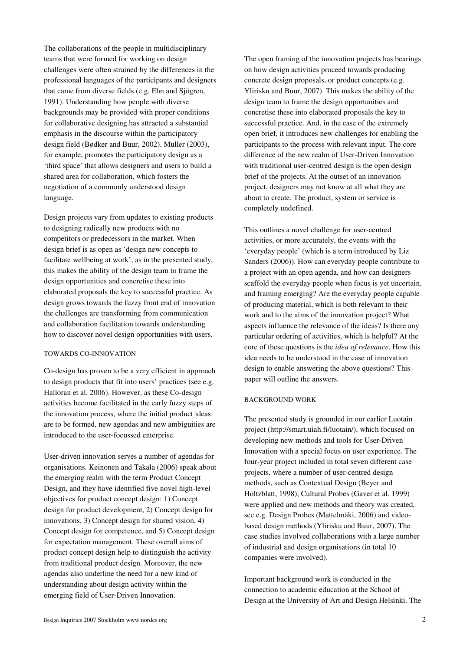The collaborations of the people in multidisciplinary teams that were formed for working on design challenges were often strained by the differences in the professional languages of the participants and designers that came from diverse fields (e.g. Ehn and Sjögren, 1991). Understanding how people with diverse backgrounds may be provided with proper conditions for collaborative designing has attracted a substantial emphasis in the discourse within the participatory design field (Bødker and Buur, 2002). Muller (2003), for example, promotes the participatory design as a 'third space' that allows designers and users to build a shared area for collaboration, which fosters the negotiation of a commonly understood design language.

Design projects vary from updates to existing products to designing radically new products with no competitors or predecessors in the market. When design brief is as open as 'design new concepts to facilitate wellbeing at work', as in the presented study, this makes the ability of the design team to frame the design opportunities and concretise these into elaborated proposals the key to successful practice. As design grows towards the fuzzy front end of innovation the challenges are transforming from communication and collaboration facilitation towards understanding how to discover novel design opportunities with users.

### TOWARDS CO-INNOVATION

Co-design has proven to be a very efficient in approach to design products that fit into users' practices (see e.g. Halloran et al. 2006). However, as these Co-design activities become facilitated in the early fuzzy steps of the innovation process, where the initial product ideas are to be formed, new agendas and new ambiguities are introduced to the user-focussed enterprise.

User-driven innovation serves a number of agendas for organisations. Keinonen and Takala (2006) speak about the emerging realm with the term Product Concept Design, and they have identified five novel high-level objectives for product concept design: 1) Concept design for product development, 2) Concept design for innovations, 3) Concept design for shared vision, 4) Concept design for competence, and 5) Concept design for expectation management. These overall aims of product concept design help to distinguish the activity from traditional product design. Moreover, the new agendas also underline the need for a new kind of understanding about design activity within the emerging field of User-Driven Innovation.

The open framing of the innovation projects has bearings on how design activities proceed towards producing concrete design proposals, or product concepts (e.g. Ylirisku and Buur, 2007). This makes the ability of the design team to frame the design opportunities and concretise these into elaborated proposals the key to successful practice. And, in the case of the extremely open brief, it introduces new challenges for enabling the participants to the process with relevant input. The core difference of the new realm of User-Driven Innovation with traditional user-centred design is the open design brief of the projects. At the outset of an innovation project, designers may not know at all what they are about to create. The product, system or service is completely undefined.

This outlines a novel challenge for user-centred activities, or more accurately, the events with the 'everyday people' (which is a term introduced by Liz Sanders (2006)). How can everyday people contribute to a project with an open agenda, and how can designers scaffold the everyday people when focus is yet uncertain, and framing emerging? Are the everyday people capable of producing material, which is both relevant to their work and to the aims of the innovation project? What aspects influence the relevance of the ideas? Is there any particular ordering of activities, which is helpful? At the core of these questions is the *idea of relevance*. How this idea needs to be understood in the case of innovation design to enable answering the above questions? This paper will outline the answers.

### BACKGROUND WORK

The presented study is grounded in our earlier Luotain project (http://smart.uiah.fi/luotain/), which focused on developing new methods and tools for User-Driven Innovation with a special focus on user experience. The four-year project included in total seven different case projects, where a number of user-centred design methods, such as Contextual Design (Beyer and Holtzblatt, 1998), Cultural Probes (Gaver et al. 1999) were applied and new methods and theory was created, see e.g. Design Probes (Mattelmäki, 2006) and videobased design methods (Ylirisku and Buur, 2007). The case studies involved collaborations with a large number of industrial and design organisations (in total 10 companies were involved).

Important background work is conducted in the connection to academic education at the School of Design at the University of Art and Design Helsinki. The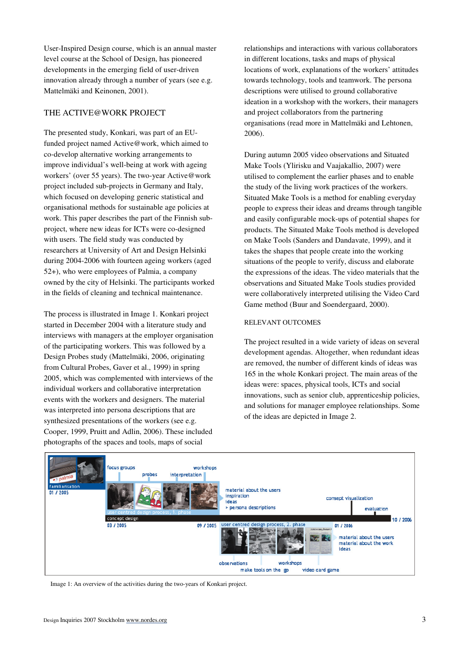User-Inspired Design course, which is an annual master level course at the School of Design, has pioneered developments in the emerging field of user-driven innovation already through a number of years (see e.g. Mattelmäki and Keinonen, 2001).

# THE ACTIVE@WORK PROJECT

The presented study, Konkari, was part of an EUfunded project named Active@work, which aimed to co-develop alternative working arrangements to improve individual's well-being at work with ageing workers' (over 55 years). The two-year Active@work project included sub-projects in Germany and Italy, which focused on developing generic statistical and organisational methods for sustainable age policies at work. This paper describes the part of the Finnish subproject, where new ideas for ICTs were co-designed with users. The field study was conducted by researchers at University of Art and Design Helsinki during 2004-2006 with fourteen ageing workers (aged 52+), who were employees of Palmia, a company owned by the city of Helsinki. The participants worked in the fields of cleaning and technical maintenance.

The process is illustrated in Image 1. Konkari project started in December 2004 with a literature study and interviews with managers at the employer organisation of the participating workers. This was followed by a Design Probes study (Mattelmäki, 2006, originating from Cultural Probes, Gaver et al., 1999) in spring 2005, which was complemented with interviews of the individual workers and collaborative interpretation events with the workers and designers. The material was interpreted into persona descriptions that are synthesized presentations of the workers (see e.g. Cooper, 1999, Pruitt and Adlin, 2006). These included photographs of the spaces and tools, maps of social

relationships and interactions with various collaborators in different locations, tasks and maps of physical locations of work, explanations of the workers' attitudes towards technology, tools and teamwork. The persona descriptions were utilised to ground collaborative ideation in a workshop with the workers, their managers and project collaborators from the partnering organisations (read more in Mattelmäki and Lehtonen, 2006).

During autumn 2005 video observations and Situated Make Tools (Ylirisku and Vaajakallio, 2007) were utilised to complement the earlier phases and to enable the study of the living work practices of the workers. Situated Make Tools is a method for enabling everyday people to express their ideas and dreams through tangible and easily configurable mock-ups of potential shapes for products. The Situated Make Tools method is developed on Make Tools (Sanders and Dandavate, 1999), and it takes the shapes that people create into the working situations of the people to verify, discuss and elaborate the expressions of the ideas. The video materials that the observations and Situated Make Tools studies provided were collaboratively interpreted utilising the Video Card Game method (Buur and Soendergaard, 2000).

### RELEVANT OUTCOMES

The project resulted in a wide variety of ideas on several development agendas. Altogether, when redundant ideas are removed, the number of different kinds of ideas was 165 in the whole Konkari project. The main areas of the ideas were: spaces, physical tools, ICTs and social innovations, such as senior club, apprenticeship policies, and solutions for manager employee relationships. Some of the ideas are depicted in Image 2.



Image 1: An overview of the activities during the two-years of Konkari project.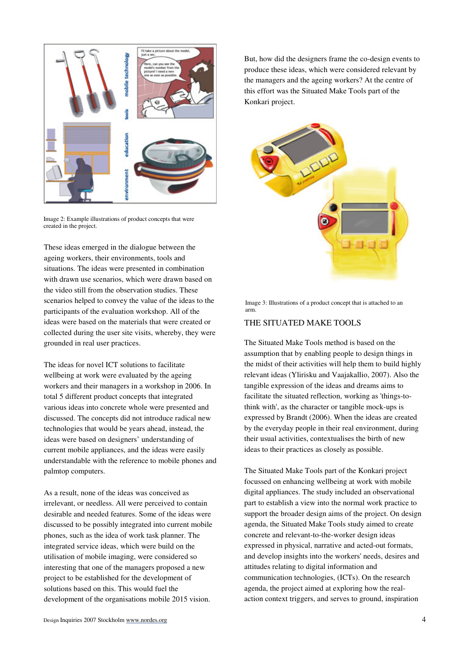

Image 2: Example illustrations of product concepts that were created in the project.

These ideas emerged in the dialogue between the ageing workers, their environments, tools and situations. The ideas were presented in combination with drawn use scenarios, which were drawn based on the video still from the observation studies. These scenarios helped to convey the value of the ideas to the participants of the evaluation workshop. All of the ideas were based on the materials that were created or collected during the user site visits, whereby, they were grounded in real user practices.

The ideas for novel ICT solutions to facilitate wellbeing at work were evaluated by the ageing workers and their managers in a workshop in 2006. In total 5 different product concepts that integrated various ideas into concrete whole were presented and discussed. The concepts did not introduce radical new technologies that would be years ahead, instead, the ideas were based on designers' understanding of current mobile appliances, and the ideas were easily understandable with the reference to mobile phones and palmtop computers.

As a result, none of the ideas was conceived as irrelevant, or needless. All were perceived to contain desirable and needed features. Some of the ideas were discussed to be possibly integrated into current mobile phones, such as the idea of work task planner. The integrated service ideas, which were build on the utilisation of mobile imaging, were considered so interesting that one of the managers proposed a new project to be established for the development of solutions based on this. This would fuel the development of the organisations mobile 2015 vision.

But, how did the designers frame the co-design events to produce these ideas, which were considered relevant by the managers and the ageing workers? At the centre of this effort was the Situated Make Tools part of the Konkari project.



Image 3: Illustrations of a product concept that is attached to an arm.

# THE SITUATED MAKE TOOLS

The Situated Make Tools method is based on the assumption that by enabling people to design things in the midst of their activities will help them to build highly relevant ideas (Ylirisku and Vaajakallio, 2007). Also the tangible expression of the ideas and dreams aims to facilitate the situated reflection, working as 'things-tothink with', as the character or tangible mock-ups is expressed by Brandt (2006). When the ideas are created by the everyday people in their real environment, during their usual activities, contextualises the birth of new ideas to their practices as closely as possible.

The Situated Make Tools part of the Konkari project focussed on enhancing wellbeing at work with mobile digital appliances. The study included an observational part to establish a view into the normal work practice to support the broader design aims of the project. On design agenda, the Situated Make Tools study aimed to create concrete and relevant-to-the-worker design ideas expressed in physical, narrative and acted-out formats, and develop insights into the workers' needs, desires and attitudes relating to digital information and communication technologies, (ICTs). On the research agenda, the project aimed at exploring how the realaction context triggers, and serves to ground, inspiration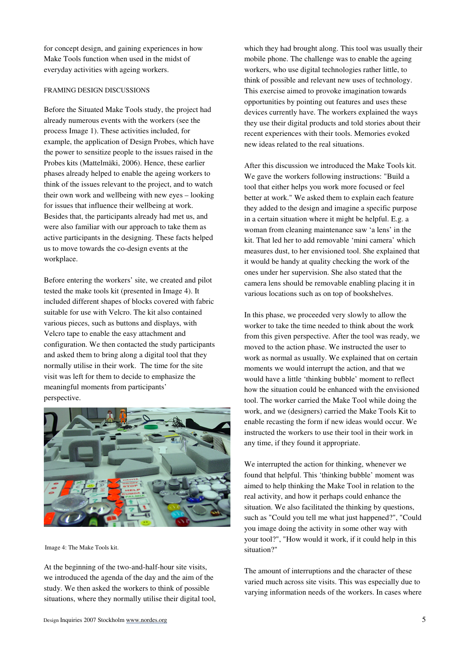for concept design, and gaining experiences in how Make Tools function when used in the midst of everyday activities with ageing workers.

## FRAMING DESIGN DISCUSSIONS

Before the Situated Make Tools study, the project had already numerous events with the workers (see the process Image 1). These activities included, for example, the application of Design Probes, which have the power to sensitize people to the issues raised in the Probes kits (Mattelmäki, 2006). Hence, these earlier phases already helped to enable the ageing workers to think of the issues relevant to the project, and to watch their own work and wellbeing with new eyes – looking for issues that influence their wellbeing at work. Besides that, the participants already had met us, and were also familiar with our approach to take them as active participants in the designing. These facts helped us to move towards the co-design events at the workplace.

Before entering the workers' site, we created and pilot tested the make tools kit (presented in Image 4). It included different shapes of blocks covered with fabric suitable for use with Velcro. The kit also contained various pieces, such as buttons and displays, with Velcro tape to enable the easy attachment and configuration. We then contacted the study participants and asked them to bring along a digital tool that they normally utilise in their work. The time for the site visit was left for them to decide to emphasize the meaningful moments from participants' perspective.



Image 4: The Make Tools kit.

At the beginning of the two-and-half-hour site visits, we introduced the agenda of the day and the aim of the study. We then asked the workers to think of possible situations, where they normally utilise their digital tool, which they had brought along. This tool was usually their mobile phone. The challenge was to enable the ageing workers, who use digital technologies rather little, to think of possible and relevant new uses of technology. This exercise aimed to provoke imagination towards opportunities by pointing out features and uses these devices currently have. The workers explained the ways they use their digital products and told stories about their recent experiences with their tools. Memories evoked new ideas related to the real situations.

After this discussion we introduced the Make Tools kit. We gave the workers following instructions: "Build a tool that either helps you work more focused or feel better at work." We asked them to explain each feature they added to the design and imagine a specific purpose in a certain situation where it might be helpful. E.g. a woman from cleaning maintenance saw 'a lens' in the kit. That led her to add removable 'mini camera' which measures dust, to her envisioned tool. She explained that it would be handy at quality checking the work of the ones under her supervision. She also stated that the camera lens should be removable enabling placing it in various locations such as on top of bookshelves.

In this phase, we proceeded very slowly to allow the worker to take the time needed to think about the work from this given perspective. After the tool was ready, we moved to the action phase. We instructed the user to work as normal as usually. We explained that on certain moments we would interrupt the action, and that we would have a little 'thinking bubble' moment to reflect how the situation could be enhanced with the envisioned tool. The worker carried the Make Tool while doing the work, and we (designers) carried the Make Tools Kit to enable recasting the form if new ideas would occur. We instructed the workers to use their tool in their work in any time, if they found it appropriate.

We interrupted the action for thinking, whenever we found that helpful. This 'thinking bubble' moment was aimed to help thinking the Make Tool in relation to the real activity, and how it perhaps could enhance the situation. We also facilitated the thinking by questions, such as "Could you tell me what just happened?", "Could you image doing the activity in some other way with your tool?", "How would it work, if it could help in this situation?"

The amount of interruptions and the character of these varied much across site visits. This was especially due to varying information needs of the workers. In cases where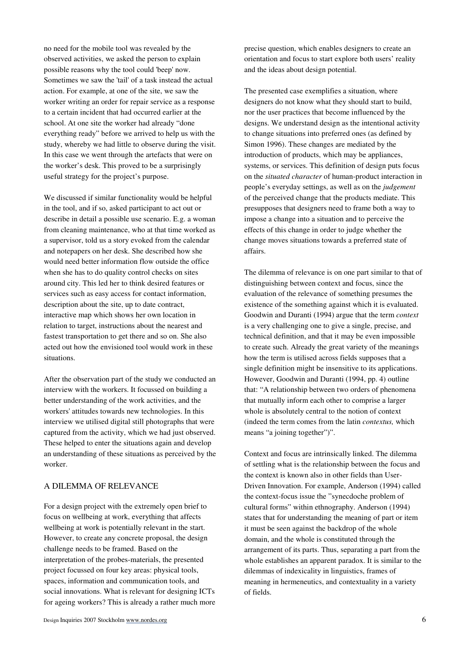no need for the mobile tool was revealed by the observed activities, we asked the person to explain possible reasons why the tool could 'beep' now. Sometimes we saw the 'tail' of a task instead the actual action. For example, at one of the site, we saw the worker writing an order for repair service as a response to a certain incident that had occurred earlier at the school. At one site the worker had already "done everything ready" before we arrived to help us with the study, whereby we had little to observe during the visit. In this case we went through the artefacts that were on the worker's desk. This proved to be a surprisingly useful strategy for the project's purpose.

We discussed if similar functionality would be helpful in the tool, and if so, asked participant to act out or describe in detail a possible use scenario. E.g. a woman from cleaning maintenance, who at that time worked as a supervisor, told us a story evoked from the calendar and notepapers on her desk. She described how she would need better information flow outside the office when she has to do quality control checks on sites around city. This led her to think desired features or services such as easy access for contact information, description about the site, up to date contract, interactive map which shows her own location in relation to target, instructions about the nearest and fastest transportation to get there and so on. She also acted out how the envisioned tool would work in these situations.

After the observation part of the study we conducted an interview with the workers. It focussed on building a better understanding of the work activities, and the workers' attitudes towards new technologies. In this interview we utilised digital still photographs that were captured from the activity, which we had just observed. These helped to enter the situations again and develop an understanding of these situations as perceived by the worker.

# A DILEMMA OF RELEVANCE

For a design project with the extremely open brief to focus on wellbeing at work, everything that affects wellbeing at work is potentially relevant in the start. However, to create any concrete proposal, the design challenge needs to be framed. Based on the interpretation of the probes-materials, the presented project focussed on four key areas: physical tools, spaces, information and communication tools, and social innovations. What is relevant for designing ICTs for ageing workers? This is already a rather much more precise question, which enables designers to create an orientation and focus to start explore both users' reality and the ideas about design potential.

The presented case exemplifies a situation, where designers do not know what they should start to build, nor the user practices that become influenced by the designs. We understand design as the intentional activity to change situations into preferred ones (as defined by Simon 1996). These changes are mediated by the introduction of products, which may be appliances, systems, or services. This definition of design puts focus on the *situated character* of human-product interaction in people's everyday settings, as well as on the *judgement* of the perceived change that the products mediate. This presupposes that designers need to frame both a way to impose a change into a situation and to perceive the effects of this change in order to judge whether the change moves situations towards a preferred state of affairs.

The dilemma of relevance is on one part similar to that of distinguishing between context and focus, since the evaluation of the relevance of something presumes the existence of the something against which it is evaluated. Goodwin and Duranti (1994) argue that the term *context* is a very challenging one to give a single, precise, and technical definition, and that it may be even impossible to create such. Already the great variety of the meanings how the term is utilised across fields supposes that a single definition might be insensitive to its applications. However, Goodwin and Duranti (1994, pp. 4) outline that: "A relationship between two orders of phenomena that mutually inform each other to comprise a larger whole is absolutely central to the notion of context (indeed the term comes from the latin *contextus,* which means "a joining together")".

Context and focus are intrinsically linked. The dilemma of settling what is the relationship between the focus and the context is known also in other fields than User-Driven Innovation. For example, Anderson (1994) called the context-focus issue the "synecdoche problem of cultural forms" within ethnography. Anderson (1994) states that for understanding the meaning of part or item it must be seen against the backdrop of the whole domain, and the whole is constituted through the arrangement of its parts. Thus, separating a part from the whole establishes an apparent paradox. It is similar to the dilemmas of indexicality in linguistics, frames of meaning in hermeneutics, and contextuality in a variety of fields.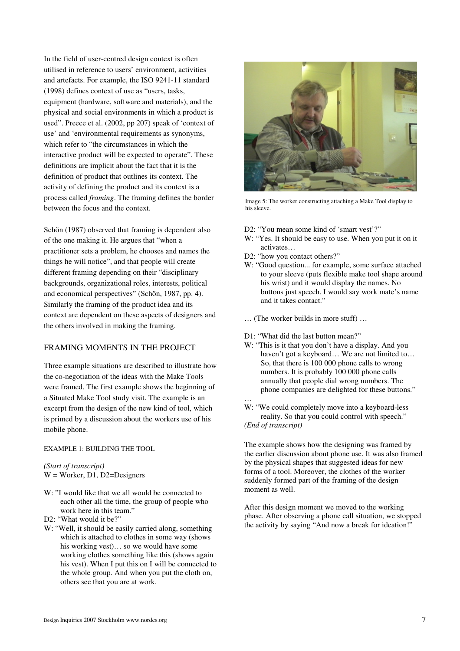In the field of user-centred design context is often utilised in reference to users' environment, activities and artefacts. For example, the ISO 9241-11 standard (1998) defines context of use as "users, tasks, equipment (hardware, software and materials), and the physical and social environments in which a product is used". Preece et al. (2002, pp 207) speak of 'context of use' and 'environmental requirements as synonyms, which refer to "the circumstances in which the interactive product will be expected to operate". These definitions are implicit about the fact that it is the definition of product that outlines its context. The activity of defining the product and its context is a process called *framing*. The framing defines the border between the focus and the context.

Schön (1987) observed that framing is dependent also of the one making it. He argues that "when a practitioner sets a problem, he chooses and names the things he will notice", and that people will create different framing depending on their "disciplinary backgrounds, organizational roles, interests, political and economical perspectives" (Schön, 1987, pp. 4). Similarly the framing of the product idea and its context are dependent on these aspects of designers and the others involved in making the framing.

## FRAMING MOMENTS IN THE PROJECT

Three example situations are described to illustrate how the co-negotiation of the ideas with the Make Tools were framed. The first example shows the beginning of a Situated Make Tool study visit. The example is an excerpt from the design of the new kind of tool, which is primed by a discussion about the workers use of his mobile phone.

## EXAMPLE 1: BUILDING THE TOOL

*(Start of transcript)*  $W =$  Worker, D1, D2=Designers

- W: "I would like that we all would be connected to each other all the time, the group of people who work here in this team."
- D2: "What would it be?"
- W: "Well, it should be easily carried along, something which is attached to clothes in some way (shows his working vest)… so we would have some working clothes something like this (shows again his vest). When I put this on I will be connected to the whole group. And when you put the cloth on, others see that you are at work.



Image 5: The worker constructing attaching a Make Tool display to his sleeve.

- D2: "You mean some kind of 'smart vest'?"
- W: "Yes. It should be easy to use. When you put it on it activates…
- D2: "how you contact others?"
- W: "Good question... for example, some surface attached to your sleeve (puts flexible make tool shape around his wrist) and it would display the names. No buttons just speech. I would say work mate's name and it takes contact."

… (The worker builds in more stuff) …

#### D1: "What did the last button mean?"

- W: "This is it that you don't have a display. And you haven't got a keyboard... We are not limited to... So, that there is 100 000 phone calls to wrong numbers. It is probably 100 000 phone calls annually that people dial wrong numbers. The phone companies are delighted for these buttons."
- … W: "We could completely move into a keyboard-less reality. So that you could control with speech." *(End of transcript)*

The example shows how the designing was framed by the earlier discussion about phone use. It was also framed by the physical shapes that suggested ideas for new forms of a tool. Moreover, the clothes of the worker suddenly formed part of the framing of the design moment as well.

After this design moment we moved to the working phase. After observing a phone call situation, we stopped the activity by saying "And now a break for ideation!"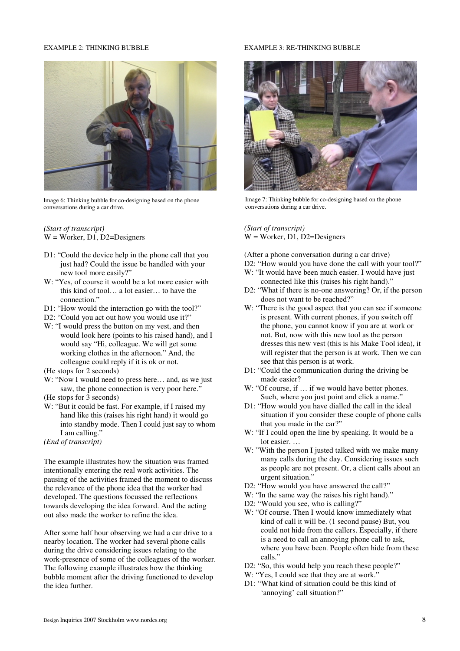## EXAMPLE 2: THINKING BUBBLE



Image 6: Thinking bubble for co-designing based on the phone conversations during a car drive.

#### *(Start of transcript)* W = Worker, D1, D2=Designers

- D1: "Could the device help in the phone call that you just had? Could the issue be handled with your new tool more easily?"
- W: "Yes, of course it would be a lot more easier with this kind of tool… a lot easier… to have the connection."
- D1: "How would the interaction go with the tool?"
- D2: "Could you act out how you would use it?"
- W: "I would press the button on my vest, and then would look here (points to his raised hand), and I would say "Hi, colleague. We will get some working clothes in the afternoon." And, the colleague could reply if it is ok or not.
- (He stops for 2 seconds)
- W: "Now I would need to press here... and, as we just saw, the phone connection is very poor here."
- (He stops for 3 seconds)
- W: "But it could be fast. For example, if I raised my hand like this (raises his right hand) it would go into standby mode. Then I could just say to whom I am calling."
- *(End of transcript)*

The example illustrates how the situation was framed intentionally entering the real work activities. The pausing of the activities framed the moment to discuss the relevance of the phone idea that the worker had developed. The questions focussed the reflections towards developing the idea forward. And the acting out also made the worker to refine the idea.

After some half hour observing we had a car drive to a nearby location. The worker had several phone calls during the drive considering issues relating to the work-presence of some of the colleagues of the worker. The following example illustrates how the thinking bubble moment after the driving functioned to develop the idea further.

#### EXAMPLE 3: RE-THINKING BUBBLE



Image 7: Thinking bubble for co-designing based on the phone conversations during a car drive.

## *(Start of transcript)* W = Worker, D1, D2=Designers

(After a phone conversation during a car drive) D2: "How would you have done the call with your tool?"

- W: "It would have been much easier. I would have just connected like this (raises his right hand)."
- D2: "What if there is no-one answering? Or, if the person does not want to be reached?"
- W: "There is the good aspect that you can see if someone" is present. With current phones, if you switch off the phone, you cannot know if you are at work or not. But, now with this new tool as the person dresses this new vest (this is his Make Tool idea), it will register that the person is at work. Then we can see that this person is at work.
- D1: "Could the communication during the driving be made easier?
- W: "Of course, if ... if we would have better phones. Such, where you just point and click a name."
- D1: "How would you have dialled the call in the ideal situation if you consider these couple of phone calls that you made in the car?"
- W: "If I could open the line by speaking. It would be a lot easier. …
- W: "With the person I justed talked with we make many many calls during the day. Considering issues such as people are not present. Or, a client calls about an urgent situation."
- D2: "How would you have answered the call?"
- W: "In the same way (he raises his right hand)."
- D2: "Would you see, who is calling?"
- W: "Of course. Then I would know immediately what kind of call it will be. (1 second pause) But, you could not hide from the callers. Especially, if there is a need to call an annoying phone call to ask, where you have been. People often hide from these calls."
- D2: "So, this would help you reach these people?"
- W: "Yes, I could see that they are at work."
- D1: "What kind of situation could be this kind of 'annoying' call situation?"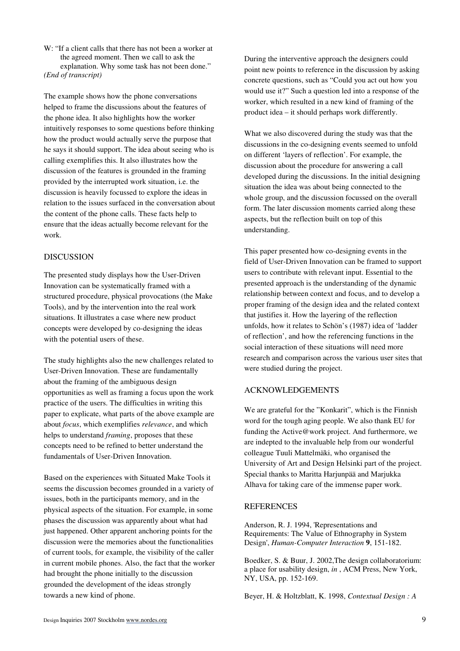W: "If a client calls that there has not been a worker at the agreed moment. Then we call to ask the explanation. Why some task has not been done." *(End of transcript)* 

The example shows how the phone conversations helped to frame the discussions about the features of the phone idea. It also highlights how the worker intuitively responses to some questions before thinking how the product would actually serve the purpose that he says it should support. The idea about seeing who is calling exemplifies this. It also illustrates how the discussion of the features is grounded in the framing provided by the interrupted work situation, i.e. the discussion is heavily focussed to explore the ideas in relation to the issues surfaced in the conversation about the content of the phone calls. These facts help to ensure that the ideas actually become relevant for the work.

# DISCUSSION

The presented study displays how the User-Driven Innovation can be systematically framed with a structured procedure, physical provocations (the Make Tools), and by the intervention into the real work situations. It illustrates a case where new product concepts were developed by co-designing the ideas with the potential users of these.

The study highlights also the new challenges related to User-Driven Innovation. These are fundamentally about the framing of the ambiguous design opportunities as well as framing a focus upon the work practice of the users. The difficulties in writing this paper to explicate, what parts of the above example are about *focus*, which exemplifies *relevance*, and which helps to understand *framing*, proposes that these concepts need to be refined to better understand the fundamentals of User-Driven Innovation.

Based on the experiences with Situated Make Tools it seems the discussion becomes grounded in a variety of issues, both in the participants memory, and in the physical aspects of the situation. For example, in some phases the discussion was apparently about what had just happened. Other apparent anchoring points for the discussion were the memories about the functionalities of current tools, for example, the visibility of the caller in current mobile phones. Also, the fact that the worker had brought the phone initially to the discussion grounded the development of the ideas strongly towards a new kind of phone.

During the interventive approach the designers could point new points to reference in the discussion by asking concrete questions, such as "Could you act out how you would use it?" Such a question led into a response of the worker, which resulted in a new kind of framing of the product idea – it should perhaps work differently.

What we also discovered during the study was that the discussions in the co-designing events seemed to unfold on different 'layers of reflection'. For example, the discussion about the procedure for answering a call developed during the discussions. In the initial designing situation the idea was about being connected to the whole group, and the discussion focussed on the overall form. The later discussion moments carried along these aspects, but the reflection built on top of this understanding.

This paper presented how co-designing events in the field of User-Driven Innovation can be framed to support users to contribute with relevant input. Essential to the presented approach is the understanding of the dynamic relationship between context and focus, and to develop a proper framing of the design idea and the related context that justifies it. How the layering of the reflection unfolds, how it relates to Schön's (1987) idea of 'ladder of reflection', and how the referencing functions in the social interaction of these situations will need more research and comparison across the various user sites that were studied during the project.

# ACKNOWLEDGEMENTS

We are grateful for the "Konkarit", which is the Finnish word for the tough aging people. We also thank EU for funding the Active@work project. And furthermore, we are indepted to the invaluable help from our wonderful colleague Tuuli Mattelmäki, who organised the University of Art and Design Helsinki part of the project. Special thanks to Maritta Harjunpää and Marjukka Alhava for taking care of the immense paper work.

## **REFERENCES**

Anderson, R. J. 1994, 'Representations and Requirements: The Value of Ethnography in System Design', *Human-Computer Interaction* **9**, 151-182.

Boedker, S. & Buur, J. 2002,The design collaboratorium: a place for usability design, *in* , ACM Press, New York, NY, USA, pp. 152-169.

Beyer, H. & Holtzblatt, K. 1998, *Contextual Design : A*